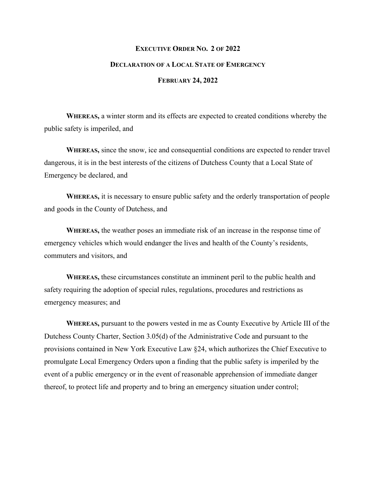## **EXECUTIVE ORDER NO. 2 OF 2022 DECLARATION OF A LOCAL STATE OF EMERGENCY FEBRUARY 24, 2022**

**WHEREAS,** a winter storm and its effects are expected to created conditions whereby the public safety is imperiled, and

**WHEREAS,** since the snow, ice and consequential conditions are expected to render travel dangerous, it is in the best interests of the citizens of Dutchess County that a Local State of Emergency be declared, and

**WHEREAS,** it is necessary to ensure public safety and the orderly transportation of people and goods in the County of Dutchess, and

**WHEREAS,** the weather poses an immediate risk of an increase in the response time of emergency vehicles which would endanger the lives and health of the County's residents, commuters and visitors, and

**WHEREAS,** these circumstances constitute an imminent peril to the public health and safety requiring the adoption of special rules, regulations, procedures and restrictions as emergency measures; and

**WHEREAS,** pursuant to the powers vested in me as County Executive by Article III of the Dutchess County Charter, Section 3.05(d) of the Administrative Code and pursuant to the provisions contained in New York Executive Law §24, which authorizes the Chief Executive to promulgate Local Emergency Orders upon a finding that the public safety is imperiled by the event of a public emergency or in the event of reasonable apprehension of immediate danger thereof, to protect life and property and to bring an emergency situation under control;